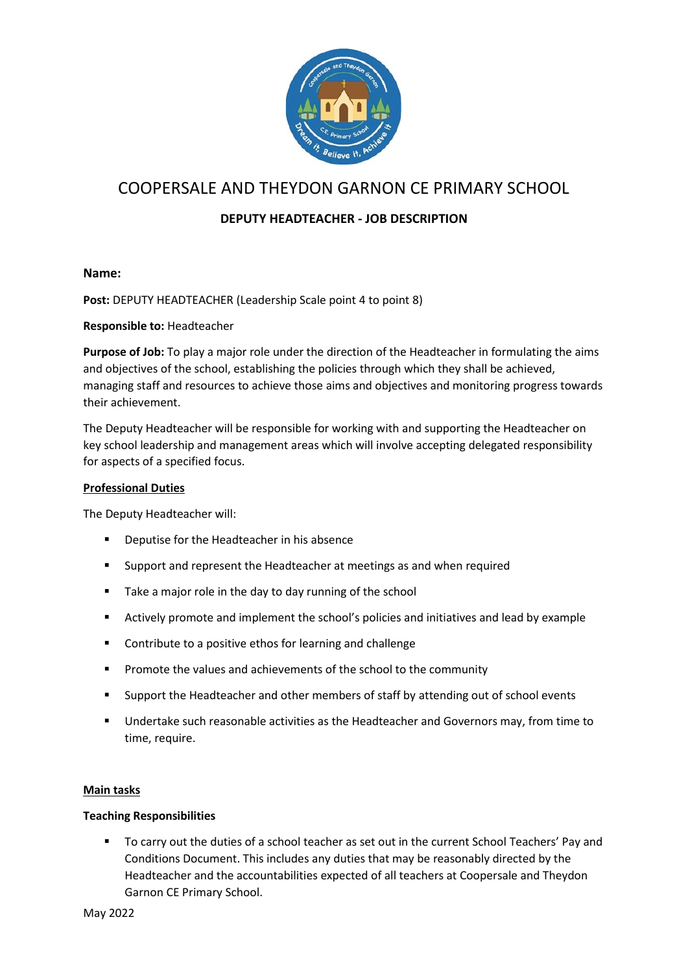

# COOPERSALE AND THEYDON GARNON CE PRIMARY SCHOOL

# **DEPUTY HEADTEACHER - JOB DESCRIPTION**

# **Name:**

**Post:** DEPUTY HEADTEACHER (Leadership Scale point 4 to point 8)

#### **Responsible to:** Headteacher

**Purpose of Job:** To play a major role under the direction of the Headteacher in formulating the aims and objectives of the school, establishing the policies through which they shall be achieved, managing staff and resources to achieve those aims and objectives and monitoring progress towards their achievement.

The Deputy Headteacher will be responsible for working with and supporting the Headteacher on key school leadership and management areas which will involve accepting delegated responsibility for aspects of a specified focus.

#### **Professional Duties**

The Deputy Headteacher will:

- Deputise for the Headteacher in his absence
- Support and represent the Headteacher at meetings as and when required
- Take a major role in the day to day running of the school
- Actively promote and implement the school's policies and initiatives and lead by example
- Contribute to a positive ethos for learning and challenge
- Promote the values and achievements of the school to the community
- Support the Headteacher and other members of staff by attending out of school events
- Undertake such reasonable activities as the Headteacher and Governors may, from time to time, require.

#### **Main tasks**

#### **Teaching Responsibilities**

■ To carry out the duties of a school teacher as set out in the current School Teachers' Pay and Conditions Document. This includes any duties that may be reasonably directed by the Headteacher and the accountabilities expected of all teachers at Coopersale and Theydon Garnon CE Primary School.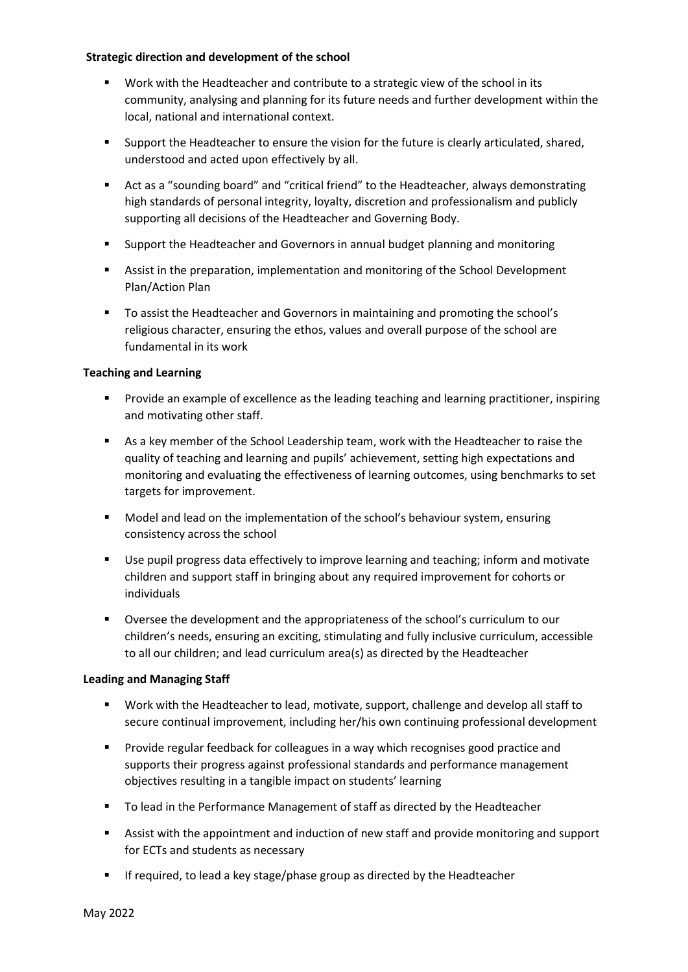#### **Strategic direction and development of the school**

- Work with the Headteacher and contribute to a strategic view of the school in its community, analysing and planning for its future needs and further development within the local, national and international context.
- Support the Headteacher to ensure the vision for the future is clearly articulated, shared, understood and acted upon effectively by all.
- Act as a "sounding board" and "critical friend" to the Headteacher, always demonstrating high standards of personal integrity, loyalty, discretion and professionalism and publicly supporting all decisions of the Headteacher and Governing Body.
- Support the Headteacher and Governors in annual budget planning and monitoring
- Assist in the preparation, implementation and monitoring of the School Development Plan/Action Plan
- To assist the Headteacher and Governors in maintaining and promoting the school's religious character, ensuring the ethos, values and overall purpose of the school are fundamental in its work

# **Teaching and Learning**

- Provide an example of excellence as the leading teaching and learning practitioner, inspiring and motivating other staff.
- As a key member of the School Leadership team, work with the Headteacher to raise the quality of teaching and learning and pupils' achievement, setting high expectations and monitoring and evaluating the effectiveness of learning outcomes, using benchmarks to set targets for improvement.
- Model and lead on the implementation of the school's behaviour system, ensuring consistency across the school
- Use pupil progress data effectively to improve learning and teaching; inform and motivate children and support staff in bringing about any required improvement for cohorts or individuals
- Oversee the development and the appropriateness of the school's curriculum to our children's needs, ensuring an exciting, stimulating and fully inclusive curriculum, accessible to all our children; and lead curriculum area(s) as directed by the Headteacher

# **Leading and Managing Staff**

- Work with the Headteacher to lead, motivate, support, challenge and develop all staff to secure continual improvement, including her/his own continuing professional development
- **•** Provide regular feedback for colleagues in a way which recognises good practice and supports their progress against professional standards and performance management objectives resulting in a tangible impact on students' learning
- To lead in the Performance Management of staff as directed by the Headteacher
- Assist with the appointment and induction of new staff and provide monitoring and support for ECTs and students as necessary
- **E** If required, to lead a key stage/phase group as directed by the Headteacher